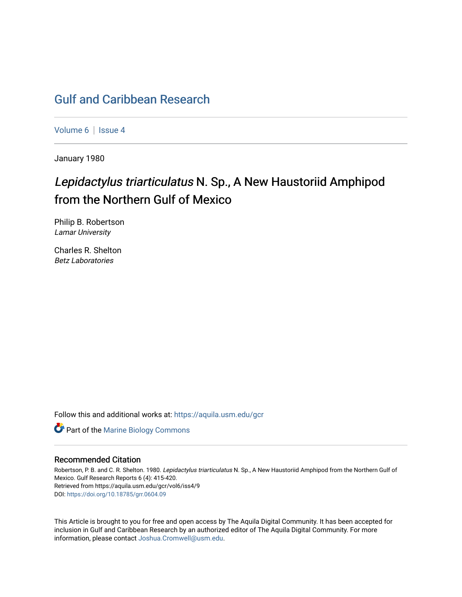# [Gulf and Caribbean Research](https://aquila.usm.edu/gcr)

[Volume 6](https://aquila.usm.edu/gcr/vol6) | Issue 4

January 1980

# Lepidactylus triarticulatus N. Sp., A New Haustoriid Amphipod from the Northern Gulf of Mexico

Philip B. Robertson Lamar University

Charles R. Shelton Betz Laboratories

Follow this and additional works at: [https://aquila.usm.edu/gcr](https://aquila.usm.edu/gcr?utm_source=aquila.usm.edu%2Fgcr%2Fvol6%2Fiss4%2F9&utm_medium=PDF&utm_campaign=PDFCoverPages) 



### Recommended Citation

Robertson, P. B. and C. R. Shelton. 1980. Lepidactylus triarticulatus N. Sp., A New Haustoriid Amphipod from the Northern Gulf of Mexico. Gulf Research Reports 6 (4): 415-420. Retrieved from https://aquila.usm.edu/gcr/vol6/iss4/9 DOI: <https://doi.org/10.18785/grr.0604.09>

This Article is brought to you for free and open access by The Aquila Digital Community. It has been accepted for inclusion in Gulf and Caribbean Research by an authorized editor of The Aquila Digital Community. For more information, please contact [Joshua.Cromwell@usm.edu.](mailto:Joshua.Cromwell@usm.edu)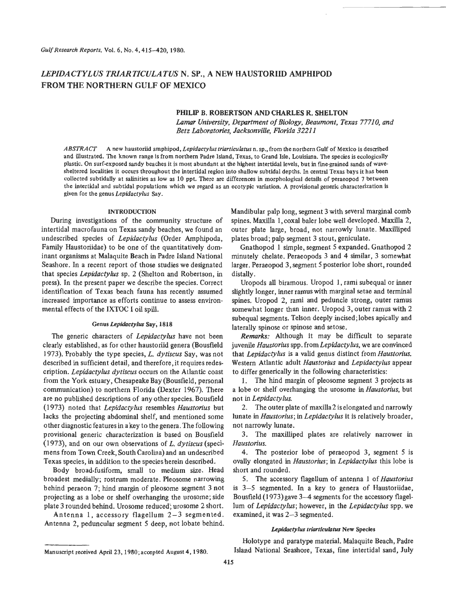## LEPIDACTYLUS TRIAR TICULATUS N. SP., A NEW HAUSTORIID AMPHIPOD **FROM THE NORTHERN GULF OF MEXICO**

### **PHILIP** B. ROBERTSON AND **CHARLES** R. **SHELTON**

*Lamar University, Department* of *Biology, Beaumont, Texas 7771 0, and Betz Laboratories, Jacksonville, Florida 3221 1* 

*ABSTRACT* **A new haustoriid amphipod,** *Lepidactylus triarticulatus* n. **sp., from the northern Gulf of Mexico is described and illustrated. The known range is from northern Padre Island, Texas, to Grand Isle, Louisiana. The species is ecologically plastic. On surfexposed sandy beaches it is most abundant at the highest intertidal levels, but in fiie-grained sands of wavesheltered localities it occurs throughout the intertidal region into shallow subtidal depths.** In **central Texas bays it has been collected subtidally at salinities as low as 10 ppt. There are differences in morphological details of peraeopod 7 between the intertidal and subtidal populations which we regard as an ecotypic variation. A provisional generic characterization is given for the genus** *Lepidactylus* **Say.** 

#### **INTRODUCTION**

During investigations of the community structure of intertidal macrofauna on Texas sandy beaches, we found an undescribed species of *Lepidactylus* (Order Amphipoda, Family Haustoriidae) to be one of the quantitatively dominant organisms at Malaquite Beach in Padre Island National Seashore. In a recent report of those studies we designated that species *Lepidactylus* sp. **2** (Shelton and Robertson, in press). In the present paper we describe the species. Correct identification of Texas beach fauna has recently assumed increased importance as efforts continue to assess environmental effects of the IXTOC I oil spill.

### **Genus** *Lepidcrctylus* **Say, 1818**

The generic characters of *Lepidactylus* have not been clearly established, as for other haustoriid genera (Bousfield 1973). Probably the type species, *L. dytiscus* Say, was not described in sufficient detail, and therefore, it requires redescription. *Lepidactylus dytiscus* occurs on the Atlantic coast from the York estuary, Chesapeake Bay (Bousfield, personal communication) to northern Florida (Dexter 1967). There are no published descriptions of any other species. Bousfield (1 973) noted that *Lepidactylus* resembles *Haustorius* but lacks the projecting abdominal shelf, and mentioned some other diagnostic features in a key to the genera. The following provisional generic characterization is based on Bousfield (1973), and on our own observations of *L. dytiscus* (specimens from Town Creek, South Carolina) and an undescribed Texas species, in addition to the species herein described.

Body broad-fusiform, small to medium size. Head broadest medially; rostrum moderate. Pleosome narrowing behind peraeon 7; hind margin of pleosome segment **3** not projecting as a lobe or shelf overhanging the urosome; side plate **3** rounded behind. Urosome reduced'; urosome 2 short.

Antenna **1,** accessory flagellum 2-3 segmented. Antenna 2, peduncular segment **5** deep, not lobate behind.

Mandibular palp long, segment 3 with several marginal comb spines. Maxilla 1, coxal baler lobe well developed. Maxilla 2, outer plate large, broad, not narrowly lunate. Maxilliped plates broad; palp segment 3 stout, geniculate.

Gnathopod 1 simple, segment **5** expanded. Gnathopod **2**  minutely chelate. Peraeopods 3 and 4 similar, 3 somewhat larger. Peraeopod 3, segment **5** posterior lobe short, rounded distally.

Uropods all biramous. Uropod 1, rami subequal or inner slightly longer, inner ramus with marginal setae and terminal spines. Uropod 2, rami and peduncle strong, outer ramus somewhat longer than inner. Uropod **3,** outer ramus with **2**  subequal segments. Telson deeply incised; lobes apically and laterally spinose or spinose and setose.

*Remarks:* Although it may be difficult to separate juvenile *Haustorius* spp. from *Lepidactylus,* we are convinced that *Lepidactylus* is a valid genus distinct from *Haustorius.*  Western Atlantic adult *Haustorius* and *Lepidactylus* appear to differ generically in the following characteristics:

1. The hind margin of pleosome segment 3 projects as a lobe or shelf overhanging the urosome in *Haustorius,* but not in *Lepidactylus.* 

The outer plate of maxilla2 is elongated and narrowly **2.**  lunate in *Haustorius;* in *Lepidactylus* it is relatively broader, not narrowly lunate.

The maxilliped plates are relatively narrower in **3.**  *Haustorius.* 

The posterior lobe of peraeopod **3,** segment **5** is **4.**  ovally elongated in *Haustorius;* in *Lepidactylus* this lobe is short and rounded.

**5.** The accessory flagellum of antenna 1 of *Haustorius*  is **3-5** segmented. In a key to genera of Haustoriidae, Bousfield (1973) gave 3-4 segments for the accessory flagellum of *Lepidactylus;* however, in the *Lepidactylus* spp. we examined, it was **2-3** segmented.

#### *Lepidoctylua triarticulotu~* **New Species**

Holotype and paratype material. Malaquite Beach, Padre Island National Seashore, Texas, fine intertidal sand, July

**Manuscript received April 23,1980;accepted August 4,1980.**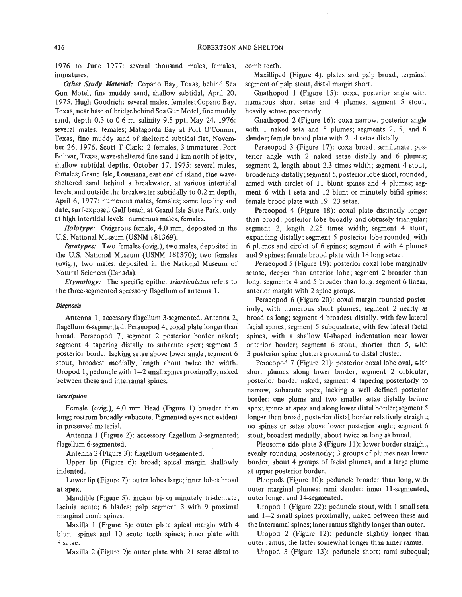1976 to June 1977: several thousand males, females, immatures.

*Other Study Material:* Copano Bay, Texas, behind Sea Gun Motel, fine muddy sand, shallow subtidal, April 20, 1975, Hugh Goodrich: several males, females; Copano Bay, Texas, near base of bridgebehind SeaGun Motel, fine muddy sand, depth 0.3 to 0.6 m, salinity 9.5 ppt, May 24, 1976: several males, females; Matagorda Bay at Port O'Connor, Texas, fine muddy sand of sheltered subtidal flat, November 26, 1976, Scott T Clark: 2 females, 3 immatures; Port Bolivar, Texas, wave-sheltered fine sand 1 km north of jetty, shallow subtidal depths, October 17, 1975: several males, females; Grand Isle, Louisiana, east end of island, fine wavesheltered sand behind a breakwater, at various intertidal levels, and outside the breakwater subtidally to 0.2 m depth, April 6, 1977: numerous males, females; same locality and date, surf-exposed Gulf beach at Grand Isle State Park, only at high intertidal levels: numerous males, females.

*Holotype:* Ovigerous female, 4.0 mm, deposited in the U.S. National Museum (USNM 181369).

*Paratypes:* Two females (ovig.), two males, deposited in the U.S. National Museum **(USNM** 181370); two females (ovig.), two males, deposited in the National Museum of Natural Sciences (Canada).

*Etymology:* The specific epithet *triarticulatus* refers to the three-segmented accessory flagellum **of** antenna 1.

#### *Diagnosis*

Antenna 1, accessory flagellum 3-segmented. Antenna 2, flagellum 6-segmented. Peraeopod 4, coxal plate longer than broad. Peraeopod 7, segment 2 posterior border naked; segment 4 tapering distally to subacute apex; segment 5 posterior border lacking setae above lower angle; segment 6 stout, broadest medially, length about twice the width. Uropod 1, peduncle with  $1-2$  small spines proximally, naked between these and interramal spines.

#### *Description*

Female (ovig.), 4.0 mm Head (Figure 1) broader than long; rostrum broadly subacute. Pigmented eyes not evident in preserved material.

Antenna 1 (Figure 2): accessory flagellum 3-segmented; flagellum 6-segmented.

Antenna 2 (Figure **3):** flagellum 6-segmented.

Upper lip (Figure 6): broad; apical margin shallowly indented.

Lower lip (Figure 7): outer lobes large; inner lobes broad at apex.

Mandible (Figure 5): incisor bi- or minutely tri-dentate; lacinia acute; 6 blades; palp segment 3 with 9 proximal marginal comb spines.

Maxilla 1 (Figure 8): outer plate apical margin with 4 blunt spines and 10 acute teeth spines; inner plate with 8 setae.

Maxilla **2** (Figure 9): outer plate with 21 setae distal to

comb teeth.

Maxilliped (Figure 4): plates and palp broad; terminal segment of palp stout, distal margin short.

Gnathopod 1 (Figure 15): coxa, posterior angle with numerous short setae and 4 plumes; segment 5 stout, heavily setose posteriorly.

Gnathopod 2 (Figure 16): coxa narrow, posterior angle with 1 naked seta and 5 plumes; segments 2, 5, and 6 slender; female brood plate with 2-4 setae distally.

Peraeopod 3 (Figure 17): coxa broad, semilunate; posterior angle with 2 naked setae distally and **6** plumes; segment *2,* length about 2.3 times width; segment 4 stout, broadening distally; segment 5, posterior lobe short, rounded, armed with circlet of 11 blunt spines and 4 plumes; segment 6 with 1 seta and 12 blunt or minutely bifid spines; female brood plate with 19-23 setae.

Peraeopod 4 (Figure 18): coxal plate distinctly longer than broad; posterior lobe broadly and obtusely triangular; segment 2, length 2.25 times width; segment 4 stout, expanding distally; segment 5 posterior lobe rounded, with 6 plumes and circlet of 6 spines; segment 6 with 4 plumes and **9** spines; female brood plate with 18 long setae.

Peraeopod 5 (Figure 19): posterior coxal lobe marginally setose, deeper than anterior lobe; segment *2* broader than long; segments 4 and 5 broader than long; segment 6 linear, anterior margin with 2 spine groups.

Peraeopod 6 (Figure 20): coxal margin rounded posteriorly, with numerous short plumes; segment 2 nearly as broad as long; segment 4 broadest distally, with few lateral facial spines; segment 5 subquadrate, with few lateral facial spines, with a shallow U-shaped indentation near lower anterior border; segment *6* stout, shorter than **5,** with 3 posterior spine clusters proximal to distal cluster.

Peraeopod 7 (Figure 21): posterior coxal lobe oval, with short plumes along lower border; segment 2 orbicular, posterior border naked; segment 4 tapering posteriorly to narrow, subacute apex, lacking a well defined posterior border; one plume and two smaller setae distally before apex; spines at apex and along lower distal border; segment 5 longer than broad, posterior distal border relatively straight; no spines or setae above lower posterior angle; segment **6**  stout, broadest medially, about twice as long as broad.

Pleosome side plate 3 (Figure 11): lower border straight, evenly rounding posteriorly; **3** groups of plumes near lower border, about 4 groups of facial plumes, and a large plume at upper posterior border.

Pleopods (Figure 10): peduncle broader than long, with outer marginal plumes; rami slender; inner 11-segmented, outer longer and 14-segmented.

Uropod 1 (Figure 22): peduncle stout, with 1 small seta and  $1-2$  small spines proximally, naked between these and the interramal spines; inner ramus slightly longer than outer.

Uropod 2 (Figure 12): peduncle slightly longer than outer ramus, the latter somewhat longer than inner ramus.

Uropod 3 (Figure 13): peduncle short; rami subequal;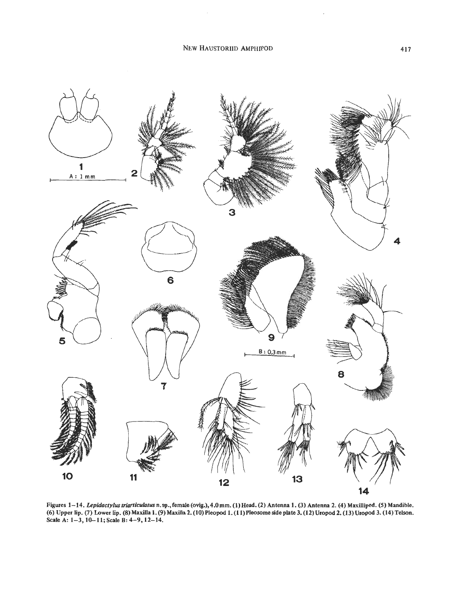

**Figures 1–14.** *Lepidactylus triarticulatus* n. sp., female (ovig.), 4.0mm. (1) Head. (2) Antenna 1. (3) Antenna 2. (4) Maxilliped. (5) Mandible. **(6) Upper lip. (7) Lower lip. (8) Maxilla 1. (9) Maxilla 2. (10) Pleopod 1. (1 1) Pleosome side plate 3. (12) Uropod 2. (13) Uropod 3. (14) Telson. Scale A: 1-3,lO-11; Scale B: 4-9,12-14.** 

 $\overline{\phantom{a}}$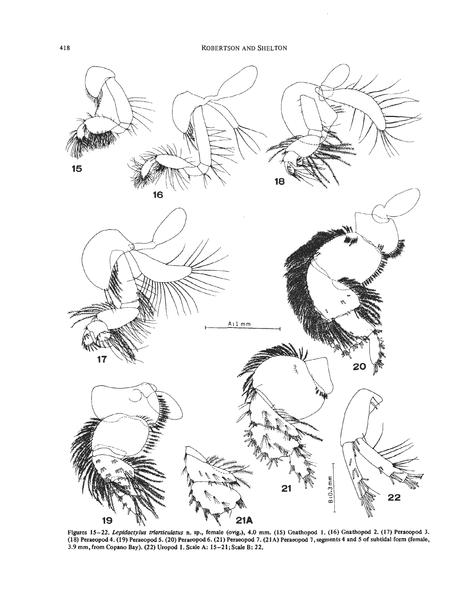

**Figures 15-22.** *Lepiducrylux fnum'cultlfus* **n. sp., female (ovig.), 4.0 mm. (15) Gnathopod 1. (16) Gnathopod 2. (17) Peraeopod 3. (18) Peraeopod 4. (19) PeraeopodS. (20) Peraeopod6. (21) Peraeopod 7. (21A) Peraeopod 7, segments 4 and 5 of subtidal form (female, 3.9 mm, from Copano Bay). (22) Uropod 1. Scale A: 15-21; Scale B: 22.**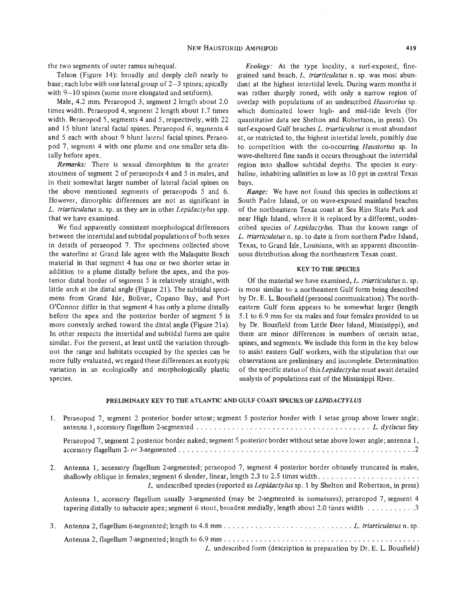the two segments of outer ramus subequal.

Telson (Figure 14): broadly and deeply cleft nearly to base; each lobe with one lateral group of  $2-3$  spines; apically with  $9-10$  spines (some more elongated and setiform).

Male, 4.2 mm. Peraeopod **3,** segment 2 length about 2.0 times width. Peraeopod 4, segment 2 length about 1.7 times width. Reraeopod *5,* segments 4 and 5, respectively, with 22 and 15 blunt lateral facial spines. Peraeopod 6, segments 4 and 5 each with about 9 blunt lateral facial spines. Peraeopod 7, segment 4 with one plume and one smaller seta distally before apex.

*Remarks:* There is sexual dimorphism in the greater stoutness of segment 2 of peraeopods 4 and 5 in males, and in their somewhat larger number of lateral facial spines on the above mentioned segments of peraeopods 5 and 6. However, dimorphic differences are not as significant in *L. triarticulatus* n. sp. as they are in other *Lepidactylus* spp. that we have examined.

We find apparently consistent morphological differences between the intertidal and subtidal populations of both sexes in details of peraeopod 7. The specimens collected above the waterline at Grand Isle agree with the Malaquite Beach material in that segment 4 has one or two shorter setae in addition to a plume distally before the apex, and the posterior distal border of segment 5 is relatively straight, with little arch at the distal angle (Figure 21). The subtidal specimens from Grand Isle, Bolivar, Copano Bay, and Port O'Connor differ in that segment 4 has only a plume distally before the apex and the posterior border of segment 5 is more convexly arched toward the distal angle (Figure 21a). In other respects the intertidal and subtidal forms are quite similar. For the present, at least until the variation throughout the range and habitats occupied by the species can be more fully evaluated, we regard these differences as ecotypic variation in an ecologically and morphologically plastic species.

*Ecology:* At the type locality, a surf-exposed, finegrained sand beach, *L. triarticulatus* n. sp. was most abundant at the highest intertidal levels. During warm months it was rather sharply zoned, with only a narrow region of overlap with populations of an undescribed *Haustorius* sp. which dominated lower high- and mid-tide levels (for quantitative data see Shelton and Robertson, in press). On surf-exposed Gulf beaches *L. triarticulatus* is most abundant at, or restricted to, the highest intertidal levels, possibly due to competition with the co-occurring *Haustorius* sp. In wave-sheltered fine sands it occurs throughout the intertidal region into shallow subtidal depths. The species is euryhaline, inhabiting salinities as low as 10 ppt in central Texas bays.

*Range:* We have not found this species in collections at South Padre Island, or on wave-exposed mainland beaches of the northeastern Texas coast at Sea Rim State Park and near High Island, where it is replaced by a different, undescribed species of *Lepidactylus.* Thus the known range of *L. triarticulatus* n. sp. to date is from northern Padre Island, Texas, to Grand Isle, Louisiana, with an apparent discontinuous distribution along the northeastern Texas coast.

#### **KEY TO THE SPECIES**

Of the material we have examined, *L. triarticulatus* n. sp. is most similar to a northeastern Gulf form being described by Dr. E. L. Bousfield (personal communication). The northeastern Gulf form appears to be somewhat larger (length 5.1 to 6.9 mm for six males and four females provided to us by Dr. Bousfield from Little Deer Island, Mississippi), and there are minor differences in numbers of certain setae, spines, and segments. We include this form in the key below to assist eastern Gulf workers, with the stipulation that our observations are preliminary and incomplete. Determination of the specific status of this *Lepidactylus* must await detailed analysis of populations east of the Mississippi River.

#### **PRELIMINARY KEY TO THE ATLANTIC AND GULF COAST SPEClES OF** *LEPIDACTYLUS*

|    | 1. Peraeopod 7, segment 2 posterior border setose; segment 5 posterior border with 1 setae group above lower angle;                                                                                                                                                                                      |
|----|----------------------------------------------------------------------------------------------------------------------------------------------------------------------------------------------------------------------------------------------------------------------------------------------------------|
|    | Peraeopod 7, segment 2 posterior border naked; segment 5 posterior border without setae above lower angle; antenna 1,                                                                                                                                                                                    |
| 2. | Antenna 1, accessory flagellum 2-segmented; peraeopod 7, segment 4 posterior border obtusely truncated in males,<br>shallowly oblique in females; segment 6 slender, linear, length 2,3 to 2.5 times width<br>L. undescribed species (reported as Lepidactylus sp. 1 by Shelton and Robertson, in press) |
|    | Antenna 1, accessory flagellum usually 3-segmented (may be 2-segmented in immatures); peraeopod 7, segment 4<br>tapering distally to subacute apex; segment 6 stout, broadest medially, length about 2.0 times width 3                                                                                   |
| 3. |                                                                                                                                                                                                                                                                                                          |
|    | L. undescribed form (description in preparation by Dr. E. L. Bousfield)                                                                                                                                                                                                                                  |